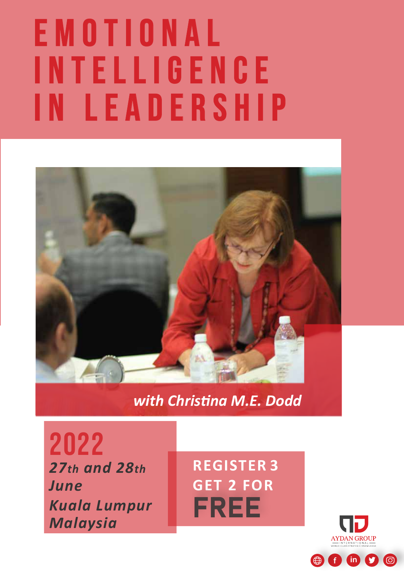# E M O T I O N A L INTELLIGENCE IN LEADERSHIP



### *with Christina M.E. Dodd*

*27th and 28th June* 2022 *Kuala Lumpur Malaysia*

**REGISTER 3 GET 2 FOR**  FREE

 $\bigoplus$  f in  $\bigcirc$   $\bigcirc$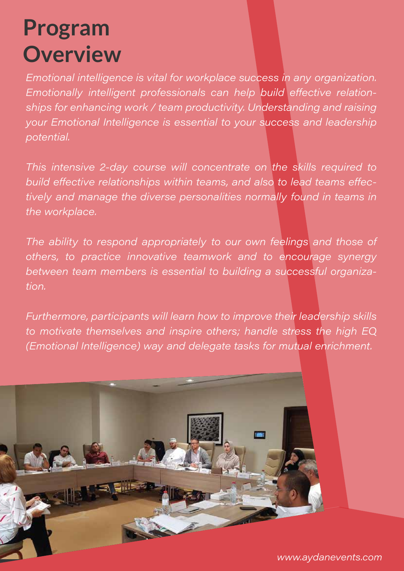# **Program Overview**

Emotional intelligence is vital for workplace success in any organization. Emotionally intelligent professionals can help build effective relationships for enhancing work / team productivity. Understanding and raising your Emotional Intelligence is essential to your success and leadership potential.

This intensive 2-day course will concentrate on the skills required to build effective relationships within teams, and also to lead teams effectively and manage the diverse personalities normally found in teams in the workplace.

The ability to respond appropriately to our own feelings and those of others, to practice innovative teamwork and to encourage synergy between team members is essential to building a successful organiza-*.* 

Furthermore, participants will learn how to improve their leadership skills to motivate themselves and inspire others; handle stress the high EQ (Emotional Intelligence) way and delegate tasks for mutual enrichment.

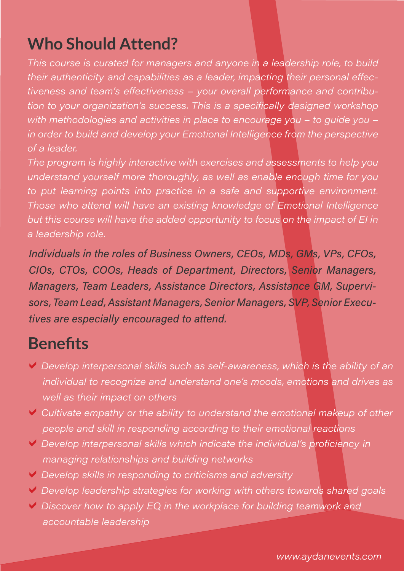### **Who Should Attend?**

This course is curated for managers and anyone in a leadership role, to build their authenticity and capabilities as a leader, impacting their personal effectiveness and team's effectiveness - your overall performance and contribution to your organization's success. This is a specifically designed workshop with methodologies and activities in place to encourage you - to guide you in order to build and develop your Emotional Intelligence from the perspective of a leader.

The program is highly interactive with exercises and assessments to help you understand yourself more thoroughly, as well as enable enough time for you to put learning points into practice in a safe and supportive environment. Those who attend will have an existing knowledge of Emotional Intelligence but this course will have the added opportunity to focus on the impact of El in a leadership role,

Individuals in the roles of Business Owners, CEOs, MDs, GMs, VPs, CFOs, CIOs, CTOs, COOs, Heads of Department, Directors, Senior Managers, Managers, Team Leaders, Assistance Directors, Assistance GM, Supervisors, Team Lead, Assistant Managers, Senior Managers, SVP, Senior Executives are especially encouraged to attend.

### **Benefits**

- $\vee$  Develop interpersonal skills such as self-awareness, which is the ability of an individual to recognize and understand one's moods, emotions and drives as well as their impact on others
- $\vee$  Cultivate empathy or the ability to understand the emotional makeup of other people and skill in responding according to their emotional reactions
- ↓ Develop interpersonal skills which indicate the individual's proficiency in managing relationships and building networks
- ↓ Develop skills in responding to criticisms and adversity
- ↓ Develop leadership strategies for working with others towards shared goals
- $\vee$  Discover how to apply EQ in the workplace for building teamwork and accountable leadership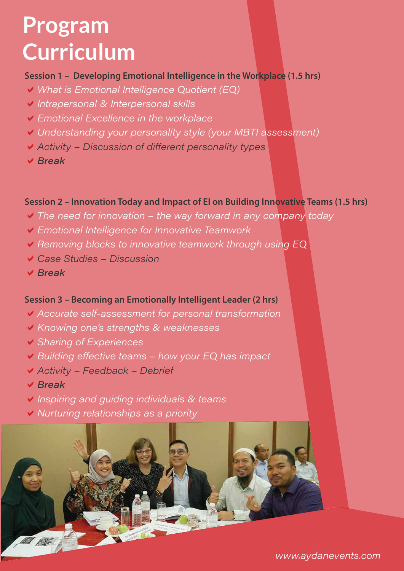### **Program Curriculum**

#### **Session 1 – Developing Emotional Intelligence in the Workplace (1.5 hrs)**

- V What is Emotional Intelligence Quotient (EQ)
- Intrapersonal & Interpersonal skills
- Emotional Excellence in the workplace
- Understanding your personality style (your MBTI assessment)
- ↓ Activity Discussion of different personality types
- $\vee$  Break

### **Session 2 – Innovation Today and Impact of EI on Building Innovative Teams (1.5 hrs)**

- $\vee$  The need for innovation the way forward in any company today
- Emotional Intelligence for Innovative Teamwork
- Removing blocks to innovative teamwork through using EQ
- $\vee$  Case Studies Discussion
- $V$  Rreak

### **Session 3 – Becoming an Emotionally Intelligent Leader (2 hrs)**

- Accurate self-assessment for personal transformation
- ↓ Knowing one's strengths & weaknesses
- ↓ Sharing of Experiences
- Building effective teams how your EQ has impact
- $\blacktriangledown$  Activity Feedback Debrief
- $\vee$  Break
- Inspiring and guiding individuals & teams
- ▼ Nurturing relationships as a priority

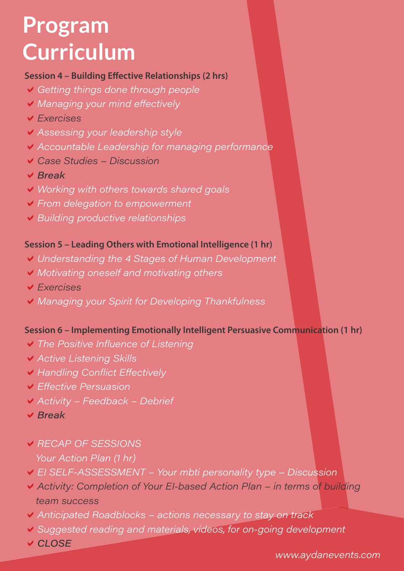## **Program Curriculum**

#### **Session 4 – Building Effective Relationships (2 hrs)**

- Getting things done through people
- Managing your mind effectively
- $\vee$  *Fxercises*
- ↓ Assessing your leadership style
- Accountable Leadership for managing performance
- $\vee$  Case Studies Discussion
- $\vee$  Break
- V Working with others towards shared goals
- ▼ From delegation to empowerment
- Building productive relationships

#### **Session 5 – Leading Others with Emotional Intelligence (1 hr)**

- Understanding the 4 Stages of Human Development
- Motivating oneself and motivating others
- $\vee$  *Fxercises*
- Managing your Spirit for Developing Thankfulness

### **Session 6 – Implementing Emotionally Intelligent Persuasive Communication (1 hr)**

- $\vee$  The Positive Influence of Listening
- ↓ Active Listening Skills
- V Handling Conflict Effectively
- **▼ Effective Persuasion**
- $\vee$  Activity Feedback Debrief
- $\vee$  Break
- **▽ RECAP OF SESSIONS** Your Action Plan (1 hr)
- ► El SELF-ASSESSMENT Your mbti personality type Discussion
- Activity: Completion of Your El-based Action Plan in terms of building team success
- Anticipated Roadblocks actions necessary to stay on track
- ↓ Suggested reading and materials, videos, for on-going development
- V CLOSE

www.aydanevents.com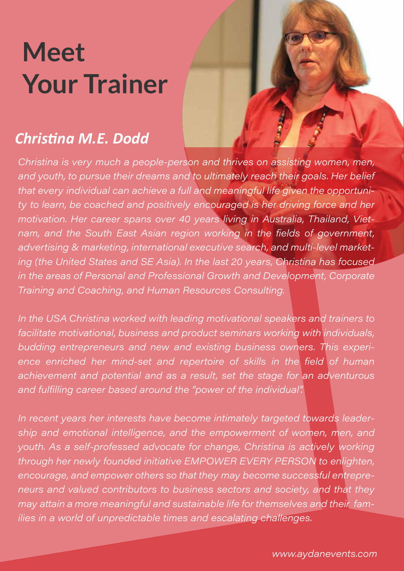# **Meet Your Trainer**

### *Christina M.E. Dodd*

Christina is very much a people-person and thrives on assisting women, men, and youth, to pursue their dreams and to ultimately reach their goals. Her belief that every individual can achieve a full and meaningful life given the opportunity to learn, be coached and positively encouraged is her driving force and her motivation. Her career spans over 40 years living in Australia, Thailand, Vietnam, and the South East Asian region working in the fields of government, advertising & marketing, international executive search, and multi-level marketing (the United States and SE Asia). In the last 20 years, Christina has focused in the areas of Personal and Professional Growth and Development, Corporate Training and Coaching, and Human Resources Consulting.

In the USA Christina worked with leading motivational speakers and trainers to facilitate motivational, business and product seminars working with individuals, budding entrepreneurs and new and existing business owners. This experience enriched her mind-set and repertoire of skills in the field of human achievement and potential and as a result, set the stage for an adventurous and fulfilling career based around the "power of the individual".

In recent years her interests have become intimately targeted towards leadership and emotional intelligence, and the empowerment of women, men, and youth. As a self-professed advocate for change, Christina is actively working through her newly founded initiative EMPOWER EVERY PERSON to enlighten, encourage, and empower others so that they may become successful entrepreneurs and valued contributors to business sectors and society, and that they may attain a more meaningful and sustainable life for themselves and their families in a world of unpredictable times and escalating challenges.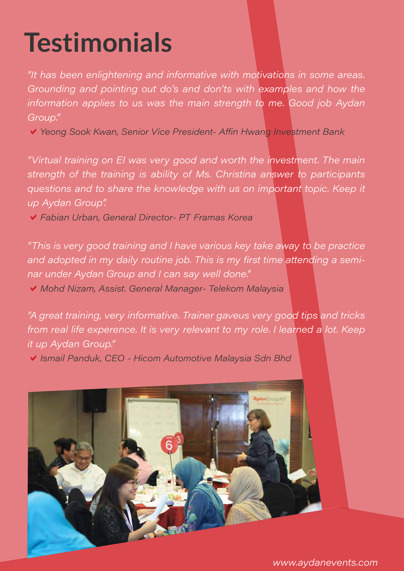# **Testimonials**

"It has been enlightening and informative with motivations in some areas. Grounding and pointing out do's and don'ts with examples and how the information applies to us was the main strength to me. Good job Aydan Group."

↓ Yeong Sook Kwan, Senior Vice President- Affin Hwang Investment Bank

"Virtual training on El was very good and worth the investment. The main strength of the training is ability of Ms. Christina answer to participants questions and to share the knowledge with us on important topic. Keep it up Aydan Group".

◆ Fabian Urban, General Director- PT Framas Korea

"This is very good training and I have various key take away to be practice and adopted in my daily routine job. This is my first time attending a seminar under Aydan Group and I can say well done."

◆ Mohd Nizam, Assist. General Manager- Telekom Malaysia

"A great training, very informative. Trainer gaveus very good tips and tricks from real life experence. It is very relevant to my role. I learned a lot. Keep it up Aydan Group."

√ Ismail Panduk, CEO - Hicom Automotive Malaysia Sdn Bhd